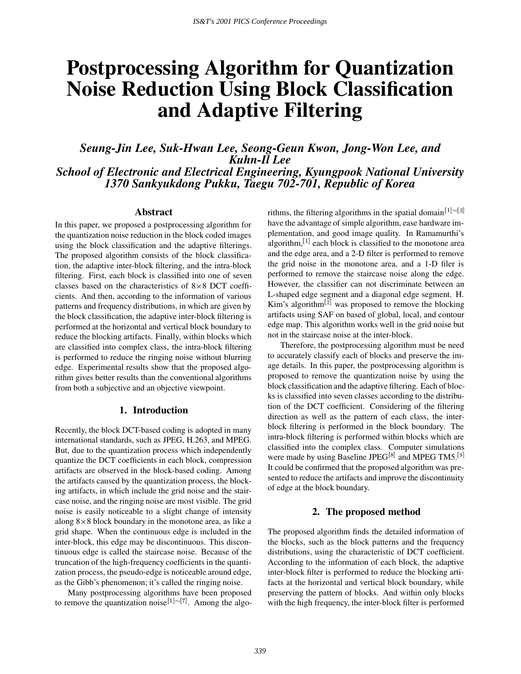# **Postprocessing Algorithm for Quantization Noise Reduction Using Block Classification and Adaptive Filtering**

*Seung-Jin Lee, Suk-Hwan Lee, Seong-Geun Kwon, Jong-Won Lee, and Kuhn-Il Lee School of Electronic and Electrical Engineering, Kyungpook National University 1370 Sankyukdong Pukku, Taegu 702-701, Republic of Korea*

# **Abstract**

In this paper, we proposed a postprocessing algorithm for the quantization noise reduction in the block coded images using the block classification and the adaptive filterings. The proposed algorithm consists of the block classification, the adaptive inter-block filtering, and the intra-block filtering. First, each block is classified into one of seven classes based on the characteristics of  $8 \times 8$  DCT coefficients. And then, according to the information of various patterns and frequency distributions, in which are given by the block classification, the adaptive inter-block filtering is performed at the horizontal and vertical block boundary to reduce the blocking artifacts. Finally, within blocks which are classified into complex class, the intra-block filtering is performed to reduce the ringing noise without blurring edge. Experimental results show that the proposed algorithm gives better results than the conventional algorithms from both a subjective and an objective viewpoint.

# **1. Introduction**

Recently, the block DCT-based coding is adopted in many international standards, such as JPEG, H.263, and MPEG. But, due to the quantization process which independently quantize the DCT coefficients in each block, compression artifacts are observed in the block-based coding. Among the artifacts caused by the quantization process, the blocking artifacts, in which include the grid noise and the staircase noise, and the ringing noise are most visible. The grid noise is easily noticeable to a slight change of intensity along  $8 \times 8$  block boundary in the monotone area, as like a grid shape. When the continuous edge is included in the inter-block, this edge may be discontinuous. This discontinuous edge is called the staircase noise. Because of the truncation of the high-frequency coefficients in the quantization process, the pseudo-edge is noticeable around edge, as the Gibb's phenomenon; it's called the ringing noise.

Many postprocessing algorithms have been proposed to remove the quantization noise<sup>[1] $\sim$ [7]. Among the algo-</sup> rithms, the filtering algorithms in the spatial domain  $[1] \sim [3]$ have the advantage of simple algorithm, ease hardware implementation, and good image quality. In Ramamurthi's algorithm, $[1]$  each block is classified to the monotone area and the edge area, and a 2-D filter is performed to remove the grid noise in the monotone area, and a 1-D filer is performed to remove the staircase noise along the edge. However, the classifier can not discriminate between an L-shaped edge segment and a diagonal edge segment. H. Kim's algorithm<sup>[2]</sup> was proposed to remove the blocking artifacts using SAF on based of global, local, and contour edge map. This algorithm works well in the grid noise but not in the staircase noise at the inter-block.

Therefore, the postprocessing algorithm must be need to accurately classify each of blocks and preserve the image details. In this paper, the postprocessing algorithm is proposed to remove the quantization noise by using the block classification and the adaptive filtering. Each of blocks is classified into seven classes according to the distribution of the DCT coefficient. Considering of the filtering direction as well as the pattern of each class, the interblock filtering is performed in the block boundary. The intra-block filtering is performed within blocks which are classified into the complex class. Computer simulations were made by using Baseline JPEG<sup>[8]</sup> and MPEG TM5.<sup>[9]</sup> It could be confirmed that the proposed algorithm was presented to reduce the artifacts and improve the discontinuity of edge at the block boundary.

# **2. The proposed method**

The proposed algorithm finds the detailed information of the blocks, such as the block patterns and the frequency distributions, using the characteristic of DCT coefficient. According to the information of each block, the adaptive inter-block filter is performed to reduce the blocking artifacts at the horizontal and vertical block boundary, while preserving the pattern of blocks. And within only blocks with the high frequency, the inter-block filter is performed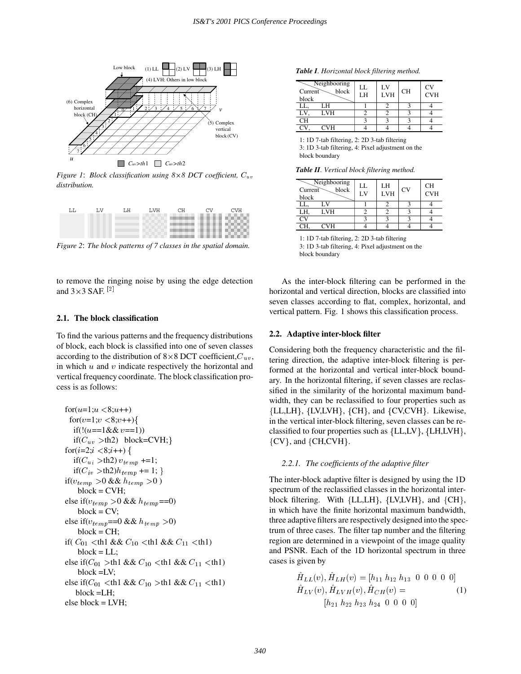

*Figure 1: Block classification using 8*×8 DCT coefficient,  $C_{uv}$ *distribution.*



*Figure 2*: *The block patterns of 7 classes in the spatial domain.*

to remove the ringing noise by using the edge detection and  $3\times 3$  SAF.  $[2]$ 

#### **2.1. The block classification**

To find the various patterns and the frequency distributions of block, each block is classified into one of seven classes according to the distribution of 8×8 DCT coefficient, $C_{uv}$ , in which  $u$  and  $v$  indicate respectively the horizontal and vertical frequency coordinate. The block classification process is as follows:

```
for(u=1; u < 8; u++)
 for(v=1; v < 8; v++)if(!(u==1&&v==1))if(C_{uv} >th2) block=CVH;
for(i=2; i < 8; i++) {
  if(C_{ui} >th2) v_{temp} +=1;
  if(C_{iv} >th2)h_{temp} += 1; }
if(v_{temp} > 0 && h_{temp} > 0)
   block = CVH;else if(v_{temp} > 0 && h_{temp} == 0)
    block = CV;else if(v_{temp} == 0 && h_{temp} > 0)
   block = CH;if( C_{01} <th1 && C_{10} <th1 && C_{11} <th1)
    block = LL;else if(C_{01} >th1 && C_{10} <th1 && C_{11} <th1)
    block =LV;
else if(C_{01} <th1 && C_{10} >th1 && C_{11} <th1)
   block =LH;
else block = LVH;
```

|  | Table I. Horizontal block filtering method. |  |  |  |
|--|---------------------------------------------|--|--|--|
|--|---------------------------------------------|--|--|--|

| Neighbooring<br>block<br>Current<br>block | LL<br>LH | LV<br>LVH | <b>CH</b> | <b>CV</b><br>$\overline{\text{C}VH}$ |
|-------------------------------------------|----------|-----------|-----------|--------------------------------------|
| LH<br>LL,                                 |          |           |           |                                      |
| LV.<br><b>LVH</b>                         |          |           |           |                                      |
| $\overline{\text{CH}}$                    |          |           |           |                                      |
| CVH                                       |          |           |           |                                      |

1: 1D 7-tab filtering, 2: 2D 3-tab filtering 3: 1D 3-tab filtering, 4: Pixel adjustment on the block boundary

*Table II. Vertical block filtering method.*

| Neighbooring<br>block<br>Current<br>block | LL<br>LV | LH<br><b>LVH</b> | CV | <b>CH</b><br><b>CVH</b> |
|-------------------------------------------|----------|------------------|----|-------------------------|
| LV<br>LL,                                 |          |                  |    |                         |
| <b>LVH</b><br>LH.                         |          |                  |    |                         |
| σ                                         |          |                  |    |                         |
| CVH                                       |          |                  |    |                         |

1: 1D 7-tab filtering, 2: 2D 3-tab filtering

3: 1D 3-tab filtering, 4: Pixel adjustment on the block boundary

As the inter-block filtering can be performed in the horizontal and vertical direction, blocks are classified into seven classes according to flat, complex, horizontal, and vertical pattern. Fig. 1 shows this classification process.

#### **2.2. Adaptive inter-block filter**

Considering both the frequency characteristic and the filtering direction, the adaptive inter-block filtering is performed at the horizontal and vertical inter-block boundary. In the horizontal filtering, if seven classes are reclassified in the similarity of the horizontal maximum bandwidth, they can be reclassified to four properties such as  ${LL, LH}, {LV,LVH}, {CH}, and {CV,CVH}.$  Likewise, in the vertical inter-block filtering, seven classes can be reclassified to four properties such as  ${LL, LV}$ ,  ${LH, LVH}$ ,  $\{CV\}$ , and  $\{CH, CVH\}$ .

#### *2.2.1. The coefficients of the adaptive filter*

The inter-block adaptive filter is designed by using the 1D spectrum of the reclassified classes in the horizontal interblock filtering. With  ${LL, LH}$ ,  ${LV, LVH}$ , and  ${CH}$ , in which have the finite horizontal maximum bandwidth, three adaptive filters are respectively designed into the spectrum of three cases. The filter tap number and the filtering region are determined in a viewpoint of the image quality and PSNR. Each of the 1D horizontal spectrum in three cases is given by

$$
H_{LL}(v), H_{LH}(v) = [h_{11} \ h_{12} \ h_{13} \ 0 \ 0 \ 0 \ 0 \ 0]
$$
  

$$
\hat{H}_{LV}(v), \hat{H}_{LVH}(v), \hat{H}_{CH}(v) =
$$
  

$$
[h_{21} \ h_{22} \ h_{23} \ h_{24} \ 0 \ 0 \ 0 \ 0]
$$
 (1)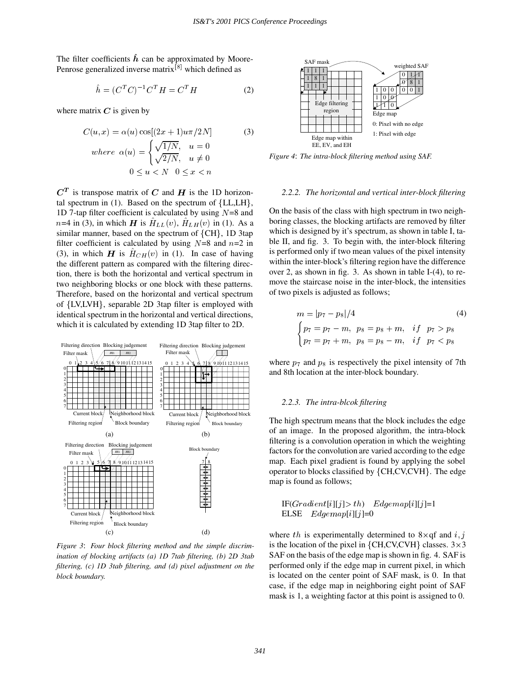The filter coefficients  $\hat{h}$  can be approximated by Moore-Penrose generalized inverse matrix [8] which defined as

$$
\hat{h} = (C^T C)^{-1} C^T H = C^T H \tag{2}
$$

where matrix  $C$  is given by

$$
C(u, x) = \alpha(u) \cos[(2x + 1)u\pi/2N]
$$
\n
$$
(3)
$$
\n
$$
where \ \alpha(u) = \begin{cases} \sqrt{1/N}, & u = 0\\ \sqrt{2/N}, & u \neq 0 \end{cases}
$$
\n
$$
0 \le u < N \quad 0 \le x < n
$$

 $C<sup>T</sup>$  is transpose matrix of C and H is the 1D horizontal spectrum in  $(1)$ . Based on the spectrum of  ${LL, LH},$ 1D 7-tap filter coefficient is calculated by using  $N=8$  and  $n=4$  in (3), in which H is  $H_{LL}(v)$ ,  $H_{LH}(v)$  in (1). As a similar manner, based on the spectrum of  ${CH}$ , 1D 3tap filter coefficient is calculated by using  $N=8$  and  $n=2$  in (3), in which **H** is  $H_{CH}(v)$  in (1). In case of having the different pattern as compared with the filtering direction, there is both the horizontal and vertical spectrum in two neighboring blocks or one block with these patterns. Therefore, based on the horizontal and vertical spectrum of {LV,LVH}, separable 2D 3tap filter is employed with identical spectrum in the horizontal and vertical directions, which it is calculated by extending 1D 3tap filter to 2D.



*Figure 3*: *Four block filtering method and the simple discrimination of blocking artifacts (a) 1D 7tab filtering, (b) 2D 3tab filtering, (c) 1D 3tab filtering, and (d) pixel adjustment on the block boundary.*



*Figure 4*: *The intra-block filtering method using SAF.*

#### *2.2.2. The horizontal and vertical inter-block filtering*

On the basis of the class with high spectrum in two neighboring classes, the blocking artifacts are removed by filter which is designed by it's spectrum, as shown in table I, table II, and fig. 3. To begin with, the inter-block filtering is performed only if two mean values of the pixel intensity within the inter-block's filtering region have the difference over 2, as shown in fig. 3. As shown in table I-(4), to remove the staircase noise in the inter-block, the intensities of two pixels is adjusted as follows;

$$
m = |p_7 - p_8| / 4
$$
\n
$$
\begin{cases}\n p_7 = p_7 - m, & p_8 = p_8 + m, & if \quad p_7 > p_8 \\
 p_7 = p_7 + m, & p_8 = p_8 - m, & if \quad p_7 < p_8\n\end{cases}
$$
\n(4)

where  $p_7$  and  $p_8$  is respectively the pixel intensity of 7th and 8th location at the inter-block boundary.

#### *2.2.3. The intra-blcok filtering*

The high spectrum means that the block includes the edge of an image. In the proposed algorithm, the intra-block filtering is a convolution operation in which the weighting factors for the convolution are varied according to the edge map. Each pixel gradient is found by applying the sobel operator to blocks classified by  ${CH, CV, CVH}$ . The edge map is found as follows;

# $IF(Gradient[i][j] > th)$   $Edgemap[i][j] = 1$ ELSE Edgemap[i][j]=0

where th is experimentally determined to 8×qf and i, j is the location of the pixel in  ${CH, CV, CVH}$  classes.  $3 \times 3$ SAF on the basis of the edge map is shown in fig. 4. SAF is performed only if the edge map in current pixel, in which is located on the center point of SAF mask, is 0. In that case, if the edge map in neighboring eight point of SAF mask is 1, a weighting factor at this point is assigned to 0.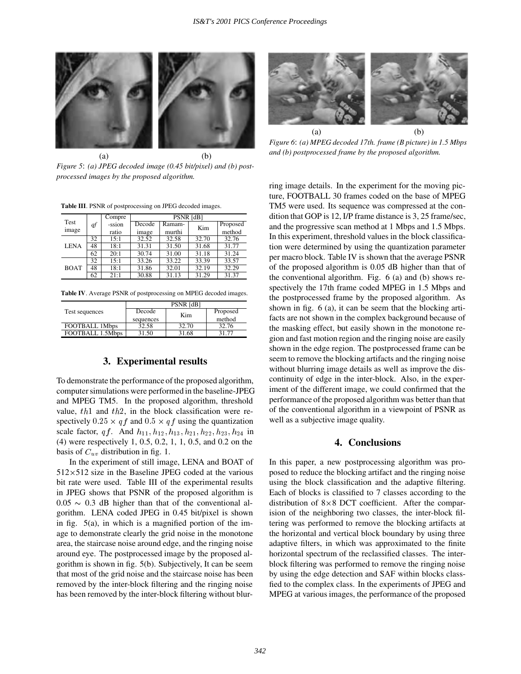

 $(a)$  (b) *Figure 5*: *(a) JPEG decoded image (0.45 bit/pixel) and (b) postprocessed images by the proposed algorithm.*

**Table III**. PSNR of postprocessing on JPEG decoded images.

|             |    | Compre | PSNR [dB] |        |       |          |
|-------------|----|--------|-----------|--------|-------|----------|
| Test        | qf | -ssion | Decode    | Ramam- | Kim   | Proposed |
| image       |    | ratio  | image     | murthi |       | method   |
| <b>LENA</b> | 32 | 15:1   | 32.52     | 32.58  | 32.70 | 32.76    |
|             | 48 | 18:1   | 31.31     | 31.50  | 31.68 | 31.77    |
|             | 62 | 20:1   | 30.74     | 31.00  | 31.18 | 31.24    |
| <b>BOAT</b> | 32 | 15:1   | 33.26     | 33.22  | 33.39 | 33.57    |
|             | 48 | 18:1   | 31.86     | 32.01  | 32.19 | 32.29    |
|             | 62 | 21:1   | 30.88     | 31.13  | 31.29 | 31.37    |

**Table IV**. Average PSNR of postprocessing on MPEG decoded images.

|                  | PSNR [dB] |       |          |  |  |
|------------------|-----------|-------|----------|--|--|
| Test sequences   | Decode    | Kim   | Proposed |  |  |
|                  | sequences |       | method   |  |  |
| FOOTBALL 1Mbps   | 32.58     | 32.70 | 32.76    |  |  |
| FOOTBALL 1.5Mbps | 31.50     | 31.68 | 31 77    |  |  |

# **3. Experimental results**

To demonstrate the performance of the proposed algorithm, computer simulations were performed in the baseline-JPEG and MPEG TM5. In the proposed algorithm, threshold value,  $th1$  and  $th2$ , in the block classification were respectively  $0.25 \times qf$  and  $0.5 \times qf$  using the quantization scale factor, qf. And  $h_{11}$ ,  $h_{12}$ ,  $h_{13}$ ,  $h_{21}$ ,  $h_{22}$ ,  $h_{23}$ ,  $h_{24}$  in (4) were respectively 1, 0.5, 0.2, 1, 1, 0.5, and 0.2 on the basis of  $C_{uv}$  distribution in fig. 1.

In the experiment of still image, LENA and BOAT of  $512\times512$  size in the Baseline JPEG coded at the various bit rate were used. Table III of the experimental results in JPEG shows that PSNR of the proposed algorithm is  $0.05 \sim 0.3$  dB higher than that of the conventional algorithm. LENA coded JPEG in 0.45 bit/pixel is shown in fig. 5(a), in which is a magnified portion of the image to demonstrate clearly the grid noise in the monotone area, the staircase noise around edge, and the ringing noise around eye. The postprocessed image by the proposed algorithm is shown in fig. 5(b). Subjectively, It can be seem that most of the grid noise and the staircase noise has been removed by the inter-block filtering and the ringing noise has been removed by the inter-block filtering without blur-



*Figure 6*: *(a) MPEG decoded 17th. frame (B picture) in 1.5 Mbps and (b) postprocessed frame by the proposed algorithm.*

ring image details. In the experiment for the moving picture, FOOTBALL 30 frames coded on the base of MPEG TM5 were used. Its sequence was compressed at the condition that GOP is 12, I/P frame distance is 3, 25 frame/sec, and the progressive scan method at 1 Mbps and 1.5 Mbps. In this experiment, threshold values in the block classification were determined by using the quantization parameter per macro block. Table IV is shown that the average PSNR of the proposed algorithm is 0.05 dB higher than that of the conventional algorithm. Fig. 6 (a) and (b) shows respectively the 17th frame coded MPEG in 1.5 Mbps and the postprocessed frame by the proposed algorithm. As shown in fig. 6 (a), it can be seem that the blocking artifacts are not shown in the complex background because of the masking effect, but easily shown in the monotone region and fast motion region and the ringing noise are easily shown in the edge region. The postprocessed frame can be seem to remove the blocking artifacts and the ringing noise without blurring image details as well as improve the discontinuity of edge in the inter-block. Also, in the experiment of the different image, we could confirmed that the performance of the proposed algorithm was better than that of the conventional algorithm in a viewpoint of PSNR as well as a subjective image quality.

# **4. Conclusions**

In this paper, a new postprocessing algorithm was proposed to reduce the blocking artifact and the ringing noise using the block classification and the adaptive filtering. Each of blocks is classified to 7 classes according to the distribution of  $8\times 8$  DCT coefficient. After the comparision of the neighboring two classes, the inter-block filtering was performed to remove the blocking artifacts at the horizontal and vertical block boundary by using three adaptive filters, in which was approximated to the finite horizontal spectrum of the reclassified classes. The interblock filtering was performed to remove the ringing noise by using the edge detection and SAF within blocks classfied to the complex class. In the experiments of JPEG and MPEG at various images, the performance of the proposed